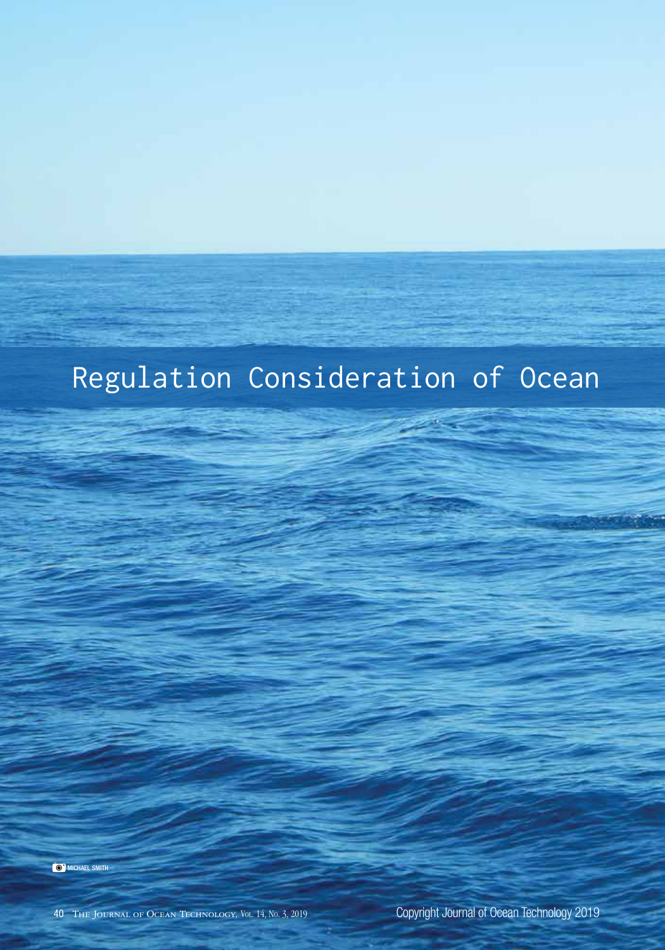# Regulation Consideration of Ocean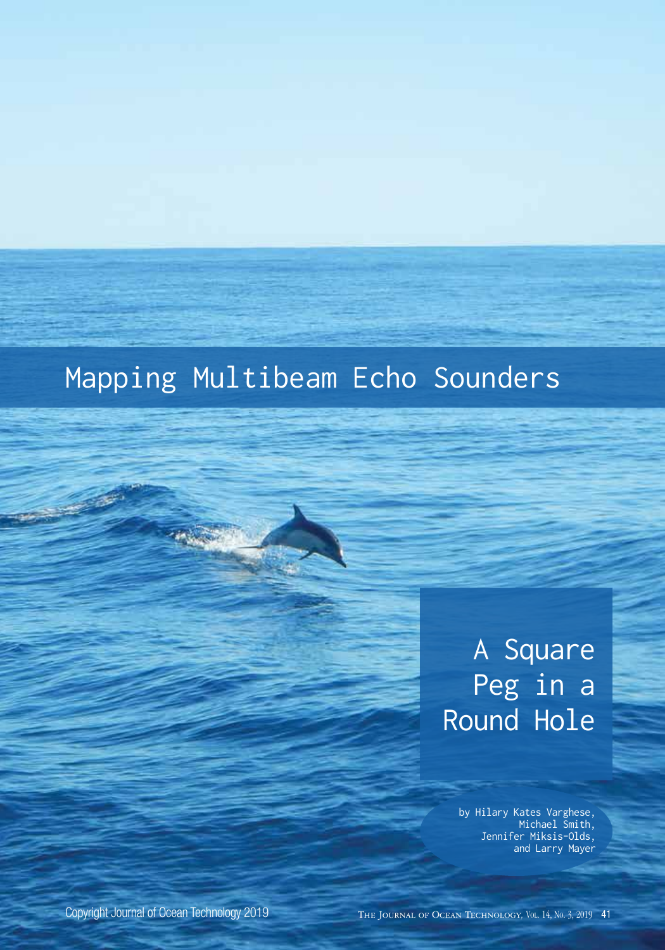### Mapping Multibeam Echo Sounders

## A Square Peg in a Round Hole

by Hilary Kates Varghese, Michael Smith, Jennifer Miksis-Olds, and Larry Mayer

Copyright Journal of Ocean Technology 2019

The Journal of Ocean Technology*,* Vol. 14, No. 3, 2019 41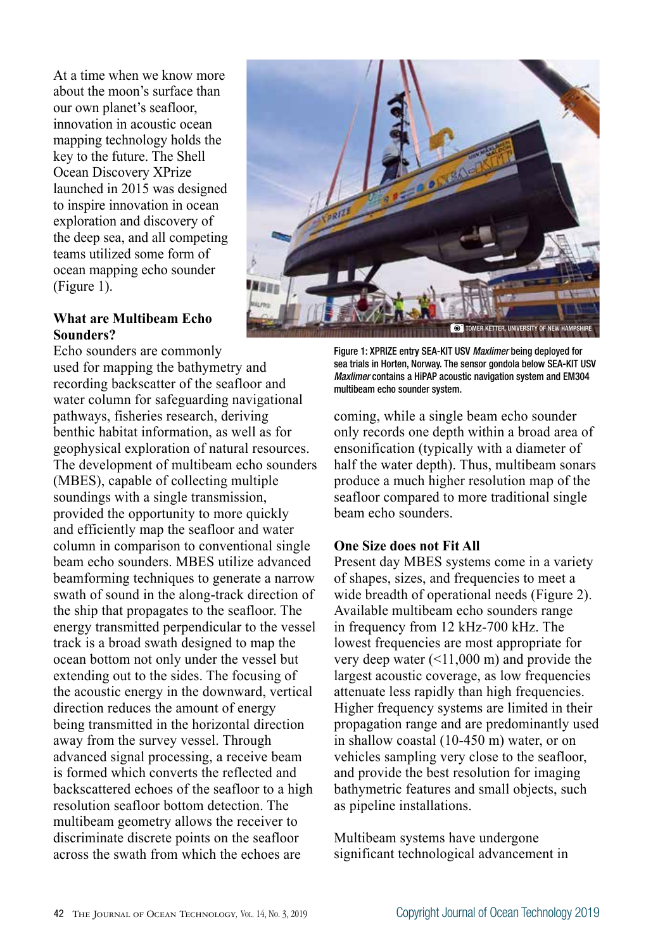At a time when we know more about the moon's surface than our own planet's seafloor, innovation in acoustic ocean mapping technology holds the key to the future. The Shell Ocean Discovery XPrize launched in 2015 was designed to inspire innovation in ocean exploration and discovery of the deep sea, and all competing teams utilized some form of ocean mapping echo sounder (Figure 1).

#### **What are Multibeam Echo Sounders?**

Echo sounders are commonly

used for mapping the bathymetry and recording backscatter of the seafloor and water column for safeguarding navigational pathways, fisheries research, deriving benthic habitat information, as well as for geophysical exploration of natural resources. The development of multibeam echo sounders (MBES), capable of collecting multiple soundings with a single transmission, provided the opportunity to more quickly and efficiently map the seafloor and water column in comparison to conventional single beam echo sounders. MBES utilize advanced beamforming techniques to generate a narrow swath of sound in the along-track direction of the ship that propagates to the seafloor. The energy transmitted perpendicular to the vessel track is a broad swath designed to map the ocean bottom not only under the vessel but extending out to the sides. The focusing of the acoustic energy in the downward, vertical direction reduces the amount of energy being transmitted in the horizontal direction away from the survey vessel. Through advanced signal processing, a receive beam is formed which converts the reflected and backscattered echoes of the seafloor to a high resolution seafloor bottom detection. The multibeam geometry allows the receiver to discriminate discrete points on the seafloor across the swath from which the echoes are



Figure 1: XPRIZE entry SEA-KIT USV *Maxlimer* being deployed for sea trials in Horten, Norway. The sensor gondola below SEA-KIT USV *Maxlimer* contains a HiPAP acoustic navigation system and EM304 multibeam echo sounder system.

coming, while a single beam echo sounder only records one depth within a broad area of ensonification (typically with a diameter of half the water depth). Thus, multibeam sonars produce a much higher resolution map of the seafloor compared to more traditional single beam echo sounders.

#### **One Size does not Fit All**

Present day MBES systems come in a variety of shapes, sizes, and frequencies to meet a wide breadth of operational needs (Figure 2). Available multibeam echo sounders range in frequency from 12 kHz-700 kHz. The lowest frequencies are most appropriate for very deep water  $(\leq 11,000 \text{ m})$  and provide the largest acoustic coverage, as low frequencies attenuate less rapidly than high frequencies. Higher frequency systems are limited in their propagation range and are predominantly used in shallow coastal (10-450 m) water, or on vehicles sampling very close to the seafloor, and provide the best resolution for imaging bathymetric features and small objects, such as pipeline installations.

Multibeam systems have undergone significant technological advancement in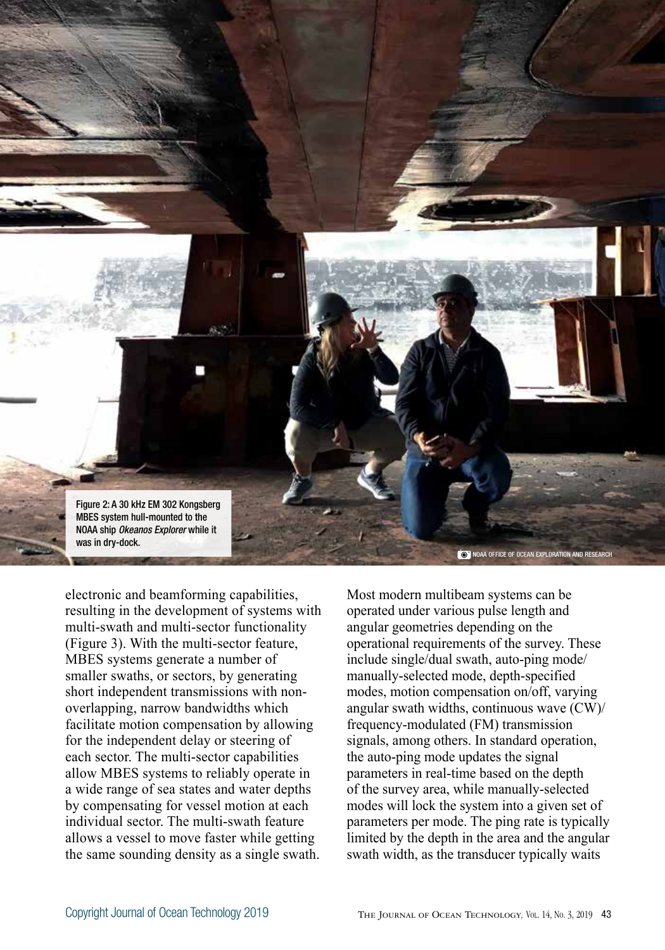

electronic and beamforming capabilities, resulting in the development of systems with multi-swath and multi-sector functionality (Figure 3). With the multi-sector feature, MBES systems generate a number of smaller swaths, or sectors, by generating short independent transmissions with nonoverlapping, narrow bandwidths which facilitate motion compensation by allowing for the independent delay or steering of each sector. The multi-sector capabilities allow MBES systems to reliably operate in a wide range of sea states and water depths by compensating for vessel motion at each individual sector. The multi-swath feature allows a vessel to move faster while getting the same sounding density as a single swath.

Most modern multibeam systems can be operated under various pulse length and angular geometries depending on the operational requirements of the survey. These include single/dual swath, auto-ping mode/ manually-selected mode, depth-specified modes, motion compensation on/off, varying angular swath widths, continuous wave (CW)/ frequency-modulated (FM) transmission signals, among others. In standard operation, the auto-ping mode updates the signal parameters in real-time based on the depth of the survey area, while manually-selected modes will lock the system into a given set of parameters per mode. The ping rate is typically limited by the depth in the area and the angular swath width, as the transducer typically waits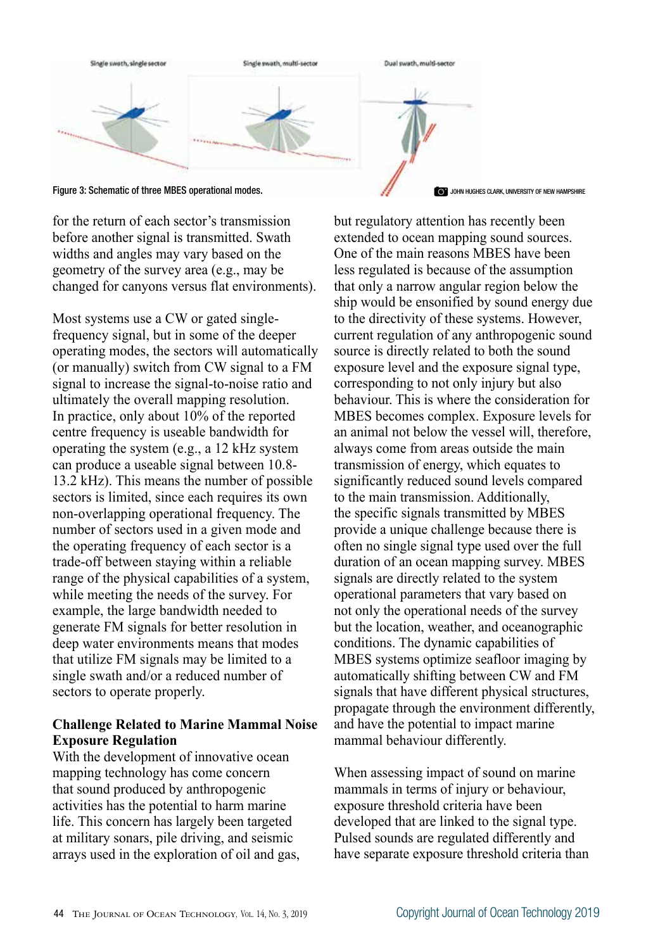

Figure 3: Schematic of three MBES operational modes. JOHN HUGHES CLARK, UNIVERSITY OF NEW HAMPSHIRE

for the return of each sector's transmission before another signal is transmitted. Swath widths and angles may vary based on the geometry of the survey area (e.g., may be changed for canyons versus flat environments).

Most systems use a CW or gated singlefrequency signal, but in some of the deeper operating modes, the sectors will automatically (or manually) switch from CW signal to a FM signal to increase the signal-to-noise ratio and ultimately the overall mapping resolution. In practice, only about 10% of the reported centre frequency is useable bandwidth for operating the system (e.g., a 12 kHz system can produce a useable signal between 10.8- 13.2 kHz). This means the number of possible sectors is limited, since each requires its own non-overlapping operational frequency. The number of sectors used in a given mode and the operating frequency of each sector is a trade-off between staying within a reliable range of the physical capabilities of a system, while meeting the needs of the survey. For example, the large bandwidth needed to generate FM signals for better resolution in deep water environments means that modes that utilize FM signals may be limited to a single swath and/or a reduced number of sectors to operate properly.

### **Challenge Related to Marine Mammal Noise Exposure Regulation**

With the development of innovative ocean mapping technology has come concern that sound produced by anthropogenic activities has the potential to harm marine life. This concern has largely been targeted at military sonars, pile driving, and seismic arrays used in the exploration of oil and gas,

but regulatory attention has recently been extended to ocean mapping sound sources. One of the main reasons MBES have been less regulated is because of the assumption that only a narrow angular region below the ship would be ensonified by sound energy due to the directivity of these systems. However, current regulation of any anthropogenic sound source is directly related to both the sound exposure level and the exposure signal type, corresponding to not only injury but also behaviour. This is where the consideration for MBES becomes complex. Exposure levels for an animal not below the vessel will, therefore, always come from areas outside the main transmission of energy, which equates to significantly reduced sound levels compared to the main transmission. Additionally, the specific signals transmitted by MBES provide a unique challenge because there is often no single signal type used over the full duration of an ocean mapping survey. MBES signals are directly related to the system operational parameters that vary based on not only the operational needs of the survey but the location, weather, and oceanographic conditions. The dynamic capabilities of MBES systems optimize seafloor imaging by automatically shifting between CW and FM signals that have different physical structures, propagate through the environment differently, and have the potential to impact marine mammal behaviour differently.

When assessing impact of sound on marine mammals in terms of injury or behaviour, exposure threshold criteria have been developed that are linked to the signal type. Pulsed sounds are regulated differently and have separate exposure threshold criteria than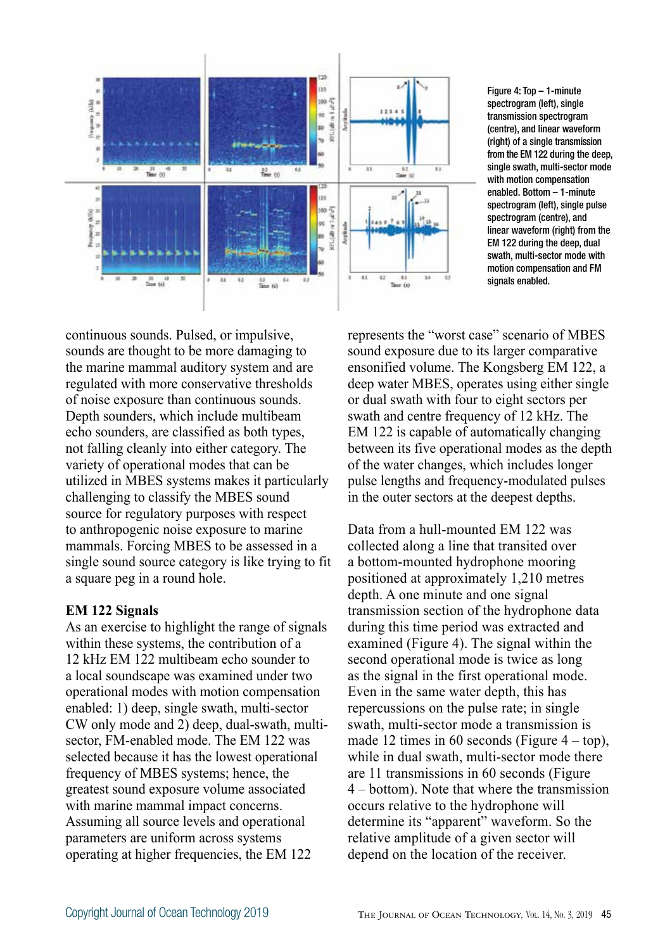

Figure 4: Top – 1-minute spectrogram (left), single transmission spectrogram (centre), and linear waveform (right) of a single transmission from the EM 122 during the deep, single swath, multi-sector mode with motion compensation enabled. Bottom – 1-minute spectrogram (left), single pulse spectrogram (centre), and linear waveform (right) from the EM 122 during the deep, dual swath, multi-sector mode with motion compensation and FM signals enabled.

continuous sounds. Pulsed, or impulsive, sounds are thought to be more damaging to the marine mammal auditory system and are regulated with more conservative thresholds of noise exposure than continuous sounds. Depth sounders, which include multibeam echo sounders, are classified as both types, not falling cleanly into either category. The variety of operational modes that can be utilized in MBES systems makes it particularly challenging to classify the MBES sound source for regulatory purposes with respect to anthropogenic noise exposure to marine mammals. Forcing MBES to be assessed in a single sound source category is like trying to fit a square peg in a round hole.

#### **EM 122 Signals**

As an exercise to highlight the range of signals within these systems, the contribution of a 12 kHz EM 122 multibeam echo sounder to a local soundscape was examined under two operational modes with motion compensation enabled: 1) deep, single swath, multi-sector CW only mode and 2) deep, dual-swath, multisector, FM-enabled mode. The EM 122 was selected because it has the lowest operational frequency of MBES systems; hence, the greatest sound exposure volume associated with marine mammal impact concerns. Assuming all source levels and operational parameters are uniform across systems operating at higher frequencies, the EM 122

represents the "worst case" scenario of MBES sound exposure due to its larger comparative ensonified volume. The Kongsberg EM 122, a deep water MBES, operates using either single or dual swath with four to eight sectors per swath and centre frequency of 12 kHz. The EM 122 is capable of automatically changing between its five operational modes as the depth of the water changes, which includes longer pulse lengths and frequency-modulated pulses in the outer sectors at the deepest depths.

Data from a hull-mounted EM 122 was collected along a line that transited over a bottom-mounted hydrophone mooring positioned at approximately 1,210 metres depth. A one minute and one signal transmission section of the hydrophone data during this time period was extracted and examined (Figure 4). The signal within the second operational mode is twice as long as the signal in the first operational mode. Even in the same water depth, this has repercussions on the pulse rate; in single swath, multi-sector mode a transmission is made 12 times in 60 seconds (Figure  $4 - top$ ), while in dual swath, multi-sector mode there are 11 transmissions in 60 seconds (Figure 4 – bottom). Note that where the transmission occurs relative to the hydrophone will determine its "apparent" waveform. So the relative amplitude of a given sector will depend on the location of the receiver.